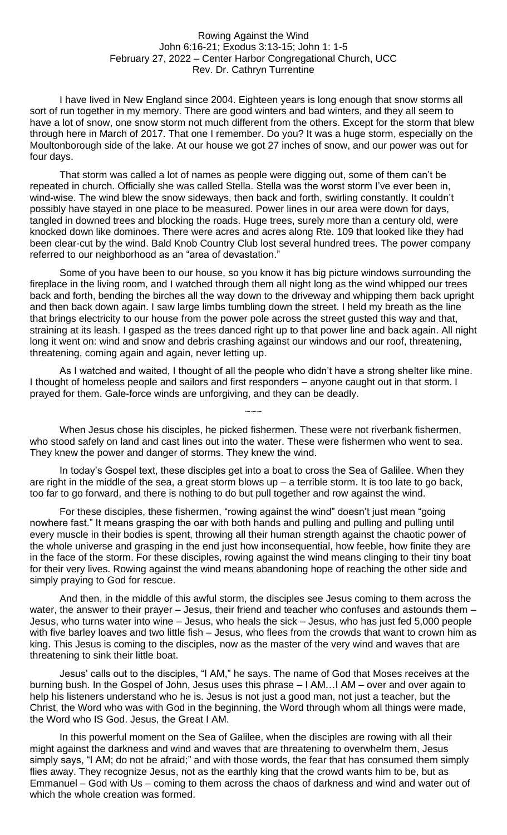## Rowing Against the Wind John 6:16-21; Exodus 3:13-15; John 1: 1-5 February 27, 2022 – Center Harbor Congregational Church, UCC Rev. Dr. Cathryn Turrentine

I have lived in New England since 2004. Eighteen years is long enough that snow storms all sort of run together in my memory. There are good winters and bad winters, and they all seem to have a lot of snow, one snow storm not much different from the others. Except for the storm that blew through here in March of 2017. That one I remember. Do you? It was a huge storm, especially on the Moultonborough side of the lake. At our house we got 27 inches of snow, and our power was out for four days.

That storm was called a lot of names as people were digging out, some of them can't be repeated in church. Officially she was called Stella. Stella was the worst storm I've ever been in, wind-wise. The wind blew the snow sideways, then back and forth, swirling constantly. It couldn't possibly have stayed in one place to be measured. Power lines in our area were down for days, tangled in downed trees and blocking the roads. Huge trees, surely more than a century old, were knocked down like dominoes. There were acres and acres along Rte. 109 that looked like they had been clear-cut by the wind. Bald Knob Country Club lost several hundred trees. The power company referred to our neighborhood as an "area of devastation."

Some of you have been to our house, so you know it has big picture windows surrounding the fireplace in the living room, and I watched through them all night long as the wind whipped our trees back and forth, bending the birches all the way down to the driveway and whipping them back upright and then back down again. I saw large limbs tumbling down the street. I held my breath as the line that brings electricity to our house from the power pole across the street gusted this way and that, straining at its leash. I gasped as the trees danced right up to that power line and back again. All night long it went on: wind and snow and debris crashing against our windows and our roof, threatening, threatening, coming again and again, never letting up.

As I watched and waited, I thought of all the people who didn't have a strong shelter like mine. I thought of homeless people and sailors and first responders – anyone caught out in that storm. I prayed for them. Gale-force winds are unforgiving, and they can be deadly.

 $\sim\sim\sim$ 

When Jesus chose his disciples, he picked fishermen. These were not riverbank fishermen, who stood safely on land and cast lines out into the water. These were fishermen who went to sea. They knew the power and danger of storms. They knew the wind.

In today's Gospel text, these disciples get into a boat to cross the Sea of Galilee. When they are right in the middle of the sea, a great storm blows  $up - a$  terrible storm. It is too late to go back, too far to go forward, and there is nothing to do but pull together and row against the wind.

For these disciples, these fishermen, "rowing against the wind" doesn't just mean "going nowhere fast." It means grasping the oar with both hands and pulling and pulling and pulling until every muscle in their bodies is spent, throwing all their human strength against the chaotic power of the whole universe and grasping in the end just how inconsequential, how feeble, how finite they are in the face of the storm. For these disciples, rowing against the wind means clinging to their tiny boat for their very lives. Rowing against the wind means abandoning hope of reaching the other side and simply praying to God for rescue.

And then, in the middle of this awful storm, the disciples see Jesus coming to them across the water, the answer to their prayer - Jesus, their friend and teacher who confuses and astounds them -Jesus, who turns water into wine – Jesus, who heals the sick – Jesus, who has just fed 5,000 people with five barley loaves and two little fish – Jesus, who flees from the crowds that want to crown him as king. This Jesus is coming to the disciples, now as the master of the very wind and waves that are threatening to sink their little boat.

Jesus' calls out to the disciples, "I AM," he says. The name of God that Moses receives at the burning bush. In the Gospel of John, Jesus uses this phrase – I AM…I AM – over and over again to help his listeners understand who he is. Jesus is not just a good man, not just a teacher, but the Christ, the Word who was with God in the beginning, the Word through whom all things were made, the Word who IS God. Jesus, the Great I AM.

In this powerful moment on the Sea of Galilee, when the disciples are rowing with all their might against the darkness and wind and waves that are threatening to overwhelm them, Jesus simply says, "I AM; do not be afraid;" and with those words, the fear that has consumed them simply flies away. They recognize Jesus, not as the earthly king that the crowd wants him to be, but as Emmanuel – God with Us – coming to them across the chaos of darkness and wind and water out of which the whole creation was formed.